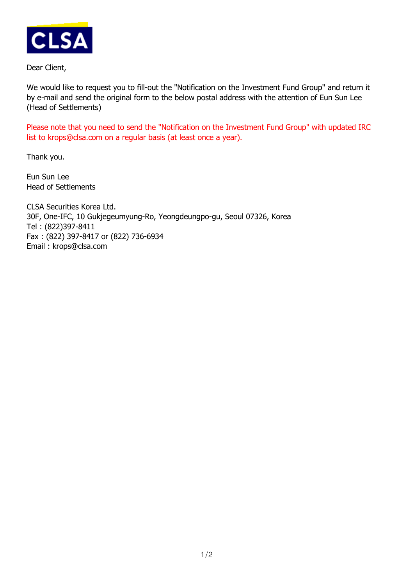

Dear Client,

We would like to request you to fill-out the "Notification on the Investment Fund Group" and return it by e-mail and send the original form to the below postal address with the attention of Eun Sun Lee (Head of Settlements)

Please note that you need to send the "Notification on the Investment Fund Group" with updated IRC list to krops@clsa.com on a regular basis (at least once a year).

Thank you.

Eun Sun Lee Head of Settlements

CLSA Securities Korea Ltd. 30F, One-IFC, 10 Gukjegeumyung-Ro, Yeongdeungpo-gu, Seoul 07326, Korea Tel : (822)397-8411 Fax : (822) 397-8417 or (822) 736-6934 Email : krops@clsa.com